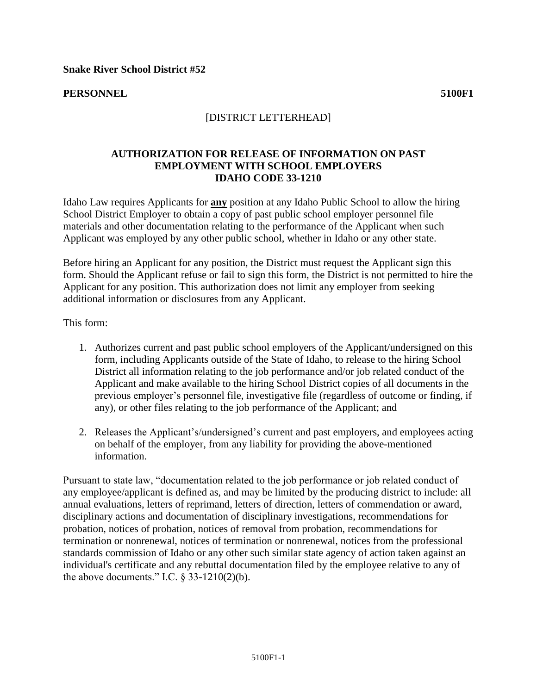## **PERSONNEL 5100F1**

## [DISTRICT LETTERHEAD]

## **AUTHORIZATION FOR RELEASE OF INFORMATION ON PAST EMPLOYMENT WITH SCHOOL EMPLOYERS IDAHO CODE 33-1210**

Idaho Law requires Applicants for **any** position at any Idaho Public School to allow the hiring School District Employer to obtain a copy of past public school employer personnel file materials and other documentation relating to the performance of the Applicant when such Applicant was employed by any other public school, whether in Idaho or any other state.

Before hiring an Applicant for any position, the District must request the Applicant sign this form. Should the Applicant refuse or fail to sign this form, the District is not permitted to hire the Applicant for any position. This authorization does not limit any employer from seeking additional information or disclosures from any Applicant.

This form:

- 1. Authorizes current and past public school employers of the Applicant/undersigned on this form, including Applicants outside of the State of Idaho, to release to the hiring School District all information relating to the job performance and/or job related conduct of the Applicant and make available to the hiring School District copies of all documents in the previous employer's personnel file, investigative file (regardless of outcome or finding, if any), or other files relating to the job performance of the Applicant; and
- 2. Releases the Applicant's/undersigned's current and past employers, and employees acting on behalf of the employer, from any liability for providing the above-mentioned information.

Pursuant to state law, "documentation related to the job performance or job related conduct of any employee/applicant is defined as, and may be limited by the producing district to include: all annual evaluations, letters of reprimand, letters of direction, letters of commendation or award, disciplinary actions and documentation of disciplinary investigations, recommendations for probation, notices of probation, notices of removal from probation, recommendations for termination or nonrenewal, notices of termination or nonrenewal, notices from the professional standards commission of Idaho or any other such similar state agency of action taken against an individual's certificate and any rebuttal documentation filed by the employee relative to any of the above documents." I.C.  $\S$  33-1210(2)(b).